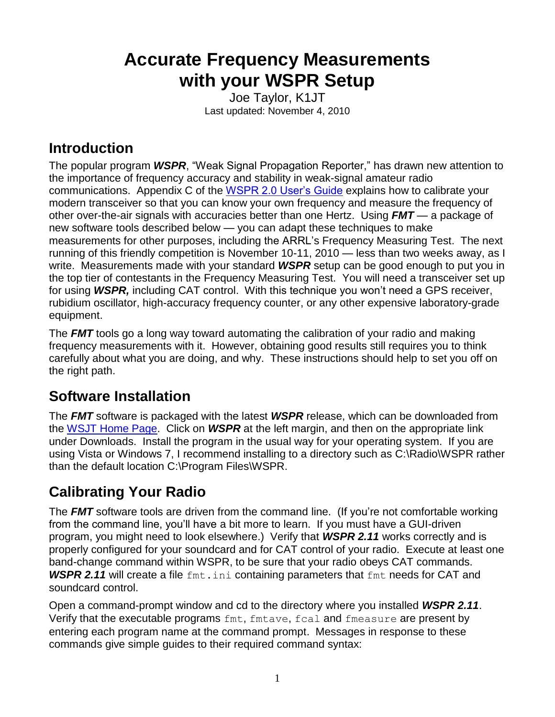# **Accurate Frequency Measurements with your WSPR Setup**

Joe Taylor, K1JT Last updated: November 4, 2010

# **Introduction**

The popular program *WSPR*, "Weak Signal Propagation Reporter," has drawn new attention to the importance of frequency accuracy and stability in weak-signal amateur radio communications. Appendix C of the [WSPR 2.0 User's Guide](http://www.physics.princeton.edu/pulsar/K1JT/WSPR_2.0_User.pdf) explains how to calibrate your modern transceiver so that you can know your own frequency and measure the frequency of other over-the-air signals with accuracies better than one Hertz. Using *FMT* — a package of new software tools described below — you can adapt these techniques to make measurements for other purposes, including the ARRL's Frequency Measuring Test. The next running of this friendly competition is November 10-11, 2010 — less than two weeks away, as I write. Measurements made with your standard *WSPR* setup can be good enough to put you in the top tier of contestants in the Frequency Measuring Test. You will need a transceiver set up for using *WSPR,* including CAT control. With this technique you won't need a GPS receiver, rubidium oscillator, high-accuracy frequency counter, or any other expensive laboratory-grade equipment.

The *FMT* tools go a long way toward automating the calibration of your radio and making frequency measurements with it. However, obtaining good results still requires you to think carefully about what you are doing, and why. These instructions should help to set you off on the right path.

# **Software Installation**

The *FMT* software is packaged with the latest *WSPR* release, which can be downloaded from the [WSJT Home Page.](http://www.physics.princeton.edu/pulsar/K1JT/) Click on *WSPR* at the left margin, and then on the appropriate link under Downloads. Install the program in the usual way for your operating system. If you are using Vista or Windows 7, I recommend installing to a directory such as C:\Radio\WSPR rather than the default location C:\Program Files\WSPR.

# **Calibrating Your Radio**

The **FMT** software tools are driven from the command line. (If you're not comfortable working from the command line, you'll have a bit more to learn. If you must have a GUI-driven program, you might need to look elsewhere.) Verify that *WSPR 2.11* works correctly and is properly configured for your soundcard and for CAT control of your radio. Execute at least one band-change command within WSPR, to be sure that your radio obeys CAT commands. **WSPR 2.11** will create a file  $fmt$ , ini containing parameters that  $fmt$  needs for CAT and soundcard control.

Open a command-prompt window and cd to the directory where you installed *WSPR 2.11*. Verify that the executable programs fmt, fmtave, fcal and fmeasure are present by entering each program name at the command prompt. Messages in response to these commands give simple guides to their required command syntax: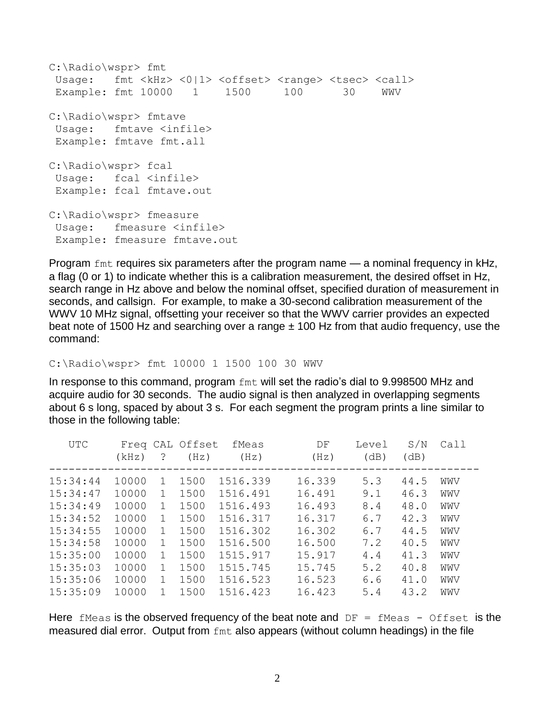```
C:\Radio\wspr> fmt
Usage: fmt <kHz> <0|1> <offset> <range> <tsec> <call>
Example: fmt 10000 1 1500 100 30 WWV
C:\Radio\wspr> fmtave
Usage: fmtave <infile>
Example: fmtave fmt.all
C:\Radio\wspr> fcal
Usage: fcal <infile>
Example: fcal fmtave.out
C:\Radio\wspr> fmeasure
Usage: fmeasure <infile>
Example: fmeasure fmtave.out
```
Program fmt requires six parameters after the program name — a nominal frequency in kHz, a flag (0 or 1) to indicate whether this is a calibration measurement, the desired offset in Hz, search range in Hz above and below the nominal offset, specified duration of measurement in seconds, and callsign. For example, to make a 30-second calibration measurement of the WWV 10 MHz signal, offsetting your receiver so that the WWV carrier provides an expected beat note of 1500 Hz and searching over a range  $\pm$  100 Hz from that audio frequency, use the command:

C:\Radio\wspr> fmt 10000 1 1500 100 30 WWV

In response to this command, program fmt will set the radio's dial to 9.998500 MHz and acquire audio for 30 seconds. The audio signal is then analyzed in overlapping segments about 6 s long, spaced by about 3 s. For each segment the program prints a line similar to those in the following table:

| UTC      | (kHz) | ?            | Freq CAL Offset<br>(Hz) | fMeas<br>(Hz) | DF<br>(Hz) | Level<br>(dB) | S/N<br>(dB) | Call |
|----------|-------|--------------|-------------------------|---------------|------------|---------------|-------------|------|
| 15:34:44 | 10000 | 1            | 1500                    | 1516.339      | 16.339     | 5.3           | 44.5        | WWV  |
| 15:34:47 | 10000 | $\mathbf{1}$ | 1500                    | 1516.491      | 16.491     | 9.1           | 46.3        | WWV  |
| 15:34:49 | 10000 | $\mathbf{1}$ | 1500                    | 1516.493      | 16.493     | 8.4           | 48.0        | WWV  |
| 15:34:52 | 10000 | $\mathbf{1}$ | 1500                    | 1516.317      | 16.317     | 6.7           | 42.3        | WWV  |
| 15:34:55 | 10000 | $\mathbf{1}$ | 1500                    | 1516.302      | 16.302     | 6.7           | 44.5        | WWV  |
| 15:34:58 | 10000 | $\mathbf{1}$ | 1500                    | 1516.500      | 16.500     | 7.2           | 40.5        | WWV  |
| 15:35:00 | 10000 | $\mathbf{1}$ | 1500                    | 1515.917      | 15.917     | 4.4           | 41.3        | WWV  |
| 15:35:03 | 10000 | 1            | 1500                    | 1515.745      | 15.745     | 5.2           | 40.8        | WWV  |
| 15:35:06 | 10000 | $\mathbf{1}$ | 1500                    | 1516.523      | 16.523     | 6.6           | 41.0        | WWV  |
| 15:35:09 | 10000 |              | 1500                    | 1516.423      | 16.423     | 5.4           | 43.2        | WWV  |

Here fMeas is the observed frequency of the beat note and  $DF = fMeas - Offset$  is the measured dial error. Output from fmt also appears (without column headings) in the file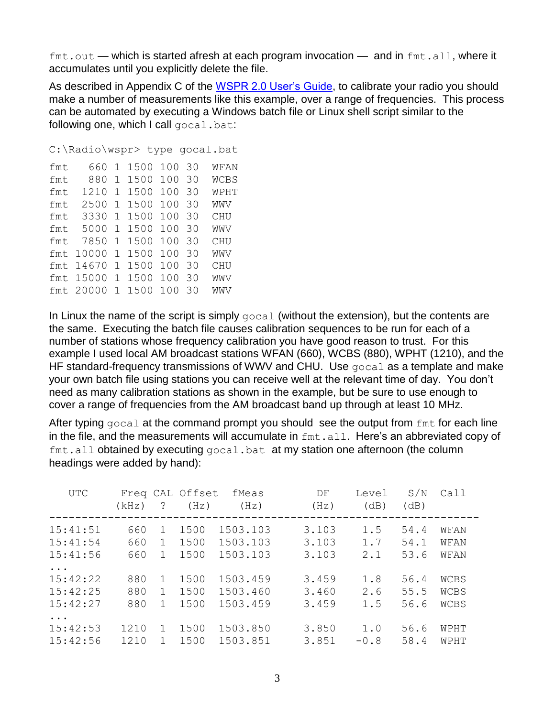$fmt.out$  — which is started afresh at each program invocation — and in  $fmt$  all, where it accumulates until you explicitly delete the file.

As described in Appendix C of the [WSPR 2.0 User's Guide,](http://www.physics.princeton.edu/pulsar/K1JT/WSPR_2.0_User.pdf) to calibrate your radio you should make a number of measurements like this example, over a range of frequencies. This process can be automated by executing a Windows batch file or Linux shell script similar to the following one, which I call gocal.bat:

```
C:\Radio\wspr> type gocal.bat
fmt 660 1 1500 100 30 WFAN
fmt 880 1 1500 100 30 WCBS
fmt 1210 1 1500 100 30 WPHT
fmt 2500 1 1500 100 30 WWV
fmt 3330 1 1500 100 30 CHU
fmt 5000 1 1500 100 30 WWV
fmt 7850 1 1500 100 30 CHU
```
fmt 10000 1 1500 100 30 WWV fmt 14670 1 1500 100 30 CHU fmt 15000 1 1500 100 30 WWV fmt 20000 1 1500 100 30 WWV

In Linux the name of the script is simply  $qocal$  (without the extension), but the contents are the same. Executing the batch file causes calibration sequences to be run for each of a number of stations whose frequency calibration you have good reason to trust. For this example I used local AM broadcast stations WFAN (660), WCBS (880), WPHT (1210), and the HF standard-frequency transmissions of WWV and CHU. Use gocal as a template and make your own batch file using stations you can receive well at the relevant time of day. You don't need as many calibration stations as shown in the example, but be sure to use enough to cover a range of frequencies from the AM broadcast band up through at least 10 MHz.

After typing  $qocal$  at the command prompt you should see the output from  $f$ mt for each line in the file, and the measurements will accumulate in  $f_{\text{int}}$ , all. Here's an abbreviated copy of  $fmt$ .all obtained by executing  $qocal$ .bat at my station one afternoon (the column headings were added by hand):

| <b>UTC</b>                                    | (kHz)             | ?                 | Freq CAL Offset<br>(Hz) | fMeas<br>(Hz)                    | DF<br>(Hz)              | Level<br>(dB)     | S/N<br>(dB)          | Call                        |
|-----------------------------------------------|-------------------|-------------------|-------------------------|----------------------------------|-------------------------|-------------------|----------------------|-----------------------------|
| 15:41:51<br>15:41:54<br>15:41:56              | 660<br>660<br>660 | 1.<br>1<br>1      | 1500<br>1500<br>1500    | 1503.103<br>1503.103<br>1503.103 | 3.103<br>3.103<br>3.103 | 1.5<br>1.7<br>2.1 | 54.4<br>54.1<br>53.6 | WFAN<br>WFAN<br>WFAN        |
| $\ddotsc$<br>15:42:22<br>15:42:25<br>15:42:27 | 880<br>880<br>880 | $\mathbf{1}$<br>1 | 1500<br>1500<br>1500    | 1503.459<br>1503.460<br>1503.459 | 3.459<br>3.460<br>3.459 | 1.8<br>2.6<br>1.5 | 56.4<br>55.5<br>56.6 | WCBS<br><b>WCBS</b><br>WCBS |
| $\ddotsc$<br>15:42:53<br>15:42:56             | 1210<br>1210      |                   | 1500<br>1500            | 1503.850<br>1503.851             | 3.850<br>3.851          | 1.0<br>$-0.8$     | 56.6<br>58.4         | WPHT<br>WPHT                |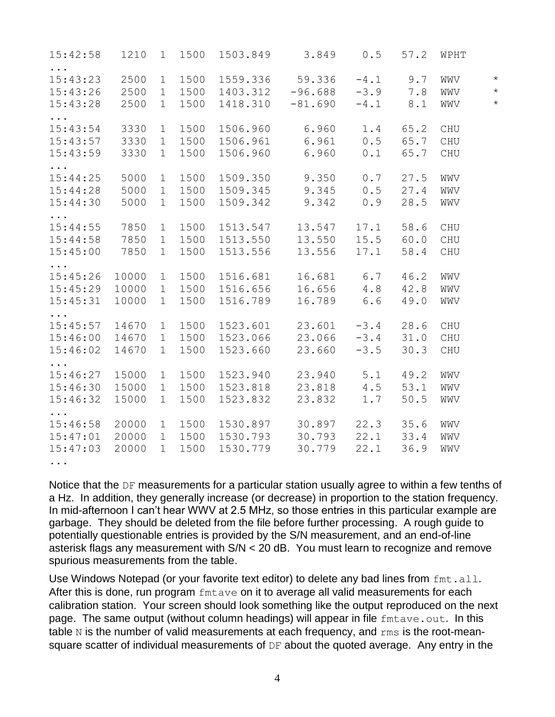| 15:42:58                         | 1210         | 1                          | 1500         | 1503.849 3.849       |                     |                  | $0.5$ 57.2 | WPHT                        |                    |
|----------------------------------|--------------|----------------------------|--------------|----------------------|---------------------|------------------|------------|-----------------------------|--------------------|
| $\cdots$<br>15:43:23<br>15:43:26 | 2500<br>2500 | $\mathbf 1$<br>$\mathbf 1$ | 1500<br>1500 | 1559.336<br>1403.312 | 59.336<br>$-96.688$ | $-4.1$<br>$-3.9$ | 9.7<br>7.8 | WWV<br>WWV                  | $\star$<br>$\star$ |
| 15:43:28                         | 2500         | $\mathbf 1$                | 1500         | 1418.310             | $-81.690$           | $-4.1$           | 8.1        | WWV                         | $\star$            |
| $\cdots$<br>15:43:54             | 3330         | $\mathbf 1$                | 1500         | 1506.960             | 6.960               | 1.4              | 65.2       | $\mathop{\hbox{\rm CHU}}$   |                    |
| 15:43:57                         | 3330         | $\mathbf 1$                | 1500         | 1506.961             | 6.961               | 0.5              | 65.7       | $\mathop{\rm CHU}\nolimits$ |                    |
| 15:43:59                         | 3330         | $\mathbf{1}$               | 1500         | 1506.960             | 6.960               | 0.1              | 65.7       | CHU                         |                    |
| $\cdots$<br>15:44:25             | 5000         | $\mathbf{1}$               | 1500         | 1509.350             | 9.350               | 0.7              | 27.5       | WWV                         |                    |
| 15:44:28                         | 5000         | 1                          | 1500         | 1509.345             | 9.345               | 0.5              | 27.4       | WWV                         |                    |
| 15:44:30                         | 5000         | $\mathbf 1$                | 1500         | 1509.342 9.342       |                     | 0.9              | 28.5       | WWV                         |                    |
| $\ddots$<br>15:44:55             | 7850         | $\mathbf 1$                | 1500         | 1513.547             | 13.547              | 17.1             | 58.6       | CHU                         |                    |
| 15:44:58                         | 7850         | $\mathbf{1}$               | 1500         | 1513.550             | 13.550              | 15.5             | 60.0       | CHU                         |                    |
| 15:45:00                         | 7850         | $\mathbf 1$                | 1500         | 1513.556             | 13.556              | 17.1             | 58.4       | $\mathop{\rm CHU}\nolimits$ |                    |
| .<br>15:45:26                    | 10000        | $\mathbf 1$                | 1500         | 1516.681             | 16.681              | 6.7              | 46.2       | WWV                         |                    |
| 15:45:29                         | 10000        | $\mathbf{1}$               | 1500         | 1516.656             | 16.656              | 4.8              | 42.8       | WWV                         |                    |
| 15:45:31                         | 10000        | $\mathbf 1$                | 1500         | 1516.789             | 16.789              | 6.6              | 49.0       | WWV                         |                    |
| $\cdots$<br>15:45:57             | 14670        | $\mathbf{1}$               | 1500         | 1523.601             | 23.601              | $-3.4$           | 28.6       | CHU                         |                    |
| 15:46:00                         | 14670        | $\mathbf 1$                | 1500         | 1523.066             | 23.066              | $-3.4$           | 31.0       | $\mathop{\rm CHU}\nolimits$ |                    |
| 15:46:02                         | 14670        | $\mathbf{1}$               | 1500         | 1523.660             | 23.660              | $-3.5$           | 30.3       | CHU                         |                    |
| $\ddotsc$ .<br>15:46:27          | 15000        | $\mathbf 1$                | 1500         | 1523.940             | 23.940              | 5.1              | 49.2       | WWV                         |                    |
| 15:46:30                         | 15000        | $\mathbf 1$                | 1500         | 1523.818             | 23.818              | 4.5              | 53.1       | WWV                         |                    |
| 15:46:32                         | 15000        |                            | 1500         |                      |                     |                  | 50.5       |                             |                    |
| $\cdots$                         |              | $\mathbf 1$                |              | 1523.832             | 23.832              | 1.7              |            | WWV                         |                    |
| 15:46:58                         | 20000        | $\mathbf 1$                | 1500         | 1530.897             | 30.897              | 22.3             | 35.6       | WWV                         |                    |
| 15:47:01                         | 20000        | $\mathbf{1}$               | 1500         | 1530.793 30.793      |                     | 22.1             | 33.4       | WWV                         |                    |
| 15:47:03                         | 20000        | $\mathbf{1}$               | 1500         | 1530.779             | 30.779              | 22.1             | 36.9       | WWV                         |                    |
| .                                |              |                            |              |                      |                     |                  |            |                             |                    |

Notice that the DF measurements for a particular station usually agree to within a few tenths of a Hz. In addition, they generally increase (or decrease) in proportion to the station frequency. In mid-afternoon I can't hear WWV at 2.5 MHz, so those entries in this particular example are garbage. They should be deleted from the file before further processing. A rough guide to potentially questionable entries is provided by the S/N measurement, and an end-of-line asterisk flags any measurement with S/N < 20 dB. You must learn to recognize and remove spurious measurements from the table.

Use Windows Notepad (or your favorite text editor) to delete any bad lines from fmt.all. After this is done, run program fintave on it to average all valid measurements for each calibration station. Your screen should look something like the output reproduced on the next page. The same output (without column headings) will appear in file fmtave.out. In this table  $N$  is the number of valid measurements at each frequency, and  $\text{rms}$  is the root-meansquare scatter of individual measurements of DF about the quoted average. Any entry in the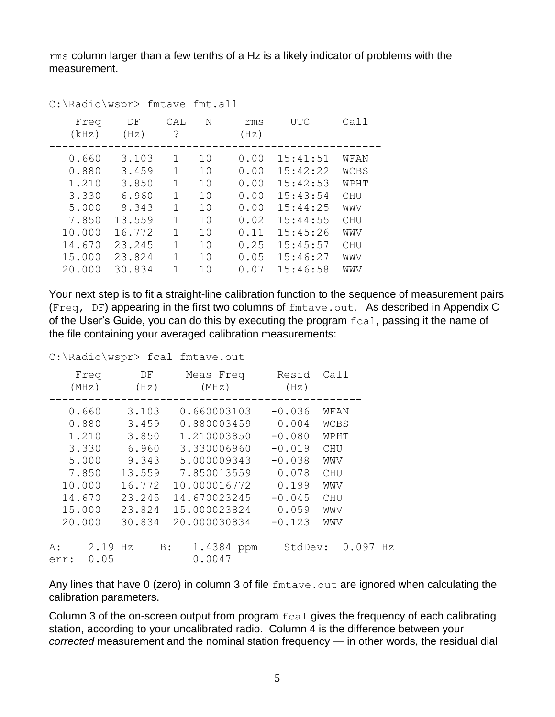rms column larger than a few tenths of a Hz is a likely indicator of problems with the measurement.

| Freq<br>(kHz) | DF<br>(Hz) | CAL<br>? | N  | rms<br>(Hz) | UTC      | Call        |  |
|---------------|------------|----------|----|-------------|----------|-------------|--|
| 0.660         | 3.103      | 1        | 10 | 0.00        | 15:41:51 | WFAN        |  |
| 0.880         | 3.459      | 1        | 10 | 0.00        | 15:42:22 | <b>WCBS</b> |  |
| 1.210         | 3.850      | 1        | 10 | 0.00        | 15:42:53 | WPHT        |  |
| 3.330         | 6.960      | 1        | 10 | 0.00        | 15:43:54 | CHU         |  |
| 5.000         | 9.343      | 1        | 10 | 0.00        | 15:44:25 | WWV         |  |
| 7.850         | 13.559     | 1        | 10 | 0.02        | 15:44:55 | CHU         |  |
| 10.000        | 16.772     | 1        | 10 | 0.11        | 15:45:26 | WWV         |  |
| 14.670        | 23.245     | 1        | 10 | 0.25        | 15:45:57 | CHU         |  |
| 15.000        | 23.824     | 1        | 10 | 0.05        | 15:46:27 | WWV         |  |
| 20.000        | 30.834     | 1        | 10 | 0.07        | 15:46:58 | WWV         |  |

C:\Radio\wspr> fmtave fmt.all

Your next step is to fit a straight-line calibration function to the sequence of measurement pairs (Freq, DF) appearing in the first two columns of  $f$ mtave.out. As described in Appendix C of the User's Guide, you can do this by executing the program  $f$ cal, passing it the name of the file containing your averaged calibration measurements:

C:\Radio\wspr> fcal fmtave.out

| Freq<br>(MHz)                                                                              |              | DF<br>(Hz)                                                                                  |    | Meas Freq<br>(MHz)                                                                                                                                     |  | Resid<br>(Hz)                                                                                            |                                               | Call                 |       |    |
|--------------------------------------------------------------------------------------------|--------------|---------------------------------------------------------------------------------------------|----|--------------------------------------------------------------------------------------------------------------------------------------------------------|--|----------------------------------------------------------------------------------------------------------|-----------------------------------------------|----------------------|-------|----|
| 0.660<br>0.880<br>1.210<br>3.330<br>5.000<br>7.850<br>10.000<br>14.670<br>15.000<br>20.000 |              | 3.103<br>3.459<br>3.850<br>6.960<br>9.343<br>13.559<br>16.772<br>23.245<br>23.824<br>30.834 |    | 0.660003103<br>0.880003459<br>1.210003850<br>3.330006960<br>5.000009343<br>7.850013559<br>10.000016772<br>14.670023245<br>15.000023824<br>20.000030834 |  | $-0.036$<br>0.004<br>$-0.080$<br>$-0.019$<br>$-0.038$<br>0.078<br>0.199<br>$-0.045$<br>0.059<br>$-0.123$ | CHU<br>WWV<br>CHU<br>WWV<br>CHU<br>WWV<br>WWV | WFAN<br>WCBS<br>WPHT |       |    |
| A :<br>err:                                                                                | 2.19<br>0.05 | Hz                                                                                          | B: | 1.4384 ppm<br>0.0047                                                                                                                                   |  | StdDev:                                                                                                  |                                               |                      | 0.097 | Hz |

Any lines that have 0 (zero) in column 3 of file fmtave.out are ignored when calculating the calibration parameters.

Column 3 of the on-screen output from program fcal gives the frequency of each calibrating station, according to your uncalibrated radio. Column 4 is the difference between your *corrected* measurement and the nominal station frequency — in other words, the residual dial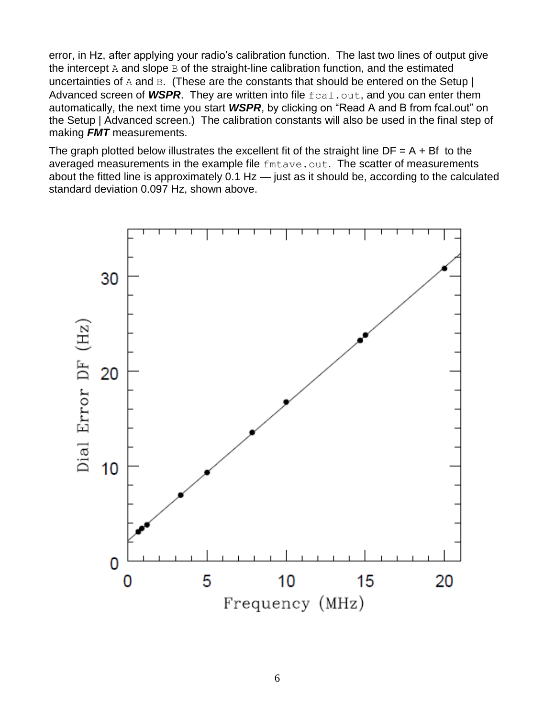error, in Hz, after applying your radio's calibration function. The last two lines of output give the intercept  $A$  and slope  $B$  of the straight-line calibration function, and the estimated uncertainties of A and B. (These are the constants that should be entered on the Setup  $\vert$ Advanced screen of WSPR. They are written into file fcal.out, and you can enter them automatically, the next time you start *WSPR*, by clicking on "Read A and B from fcal.out" on the Setup | Advanced screen.) The calibration constants will also be used in the final step of making *FMT* measurements.

The graph plotted below illustrates the excellent fit of the straight line  $DF = A + Bf$  to the averaged measurements in the example file fmtave.out. The scatter of measurements about the fitted line is approximately 0.1 Hz — just as it should be, according to the calculated standard deviation 0.097 Hz, shown above.

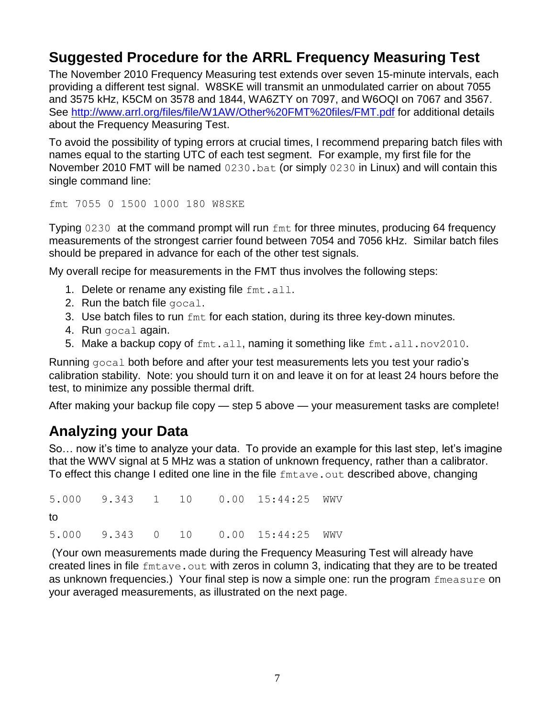## **Suggested Procedure for the ARRL Frequency Measuring Test**

The November 2010 Frequency Measuring test extends over seven 15-minute intervals, each providing a different test signal. W8SKE will transmit an unmodulated carrier on about 7055 and 3575 kHz, K5CM on 3578 and 1844, WA6ZTY on 7097, and W6OQI on 7067 and 3567. See<http://www.arrl.org/files/file/W1AW/Other%20FMT%20files/FMT.pdf> for additional details about the Frequency Measuring Test.

To avoid the possibility of typing errors at crucial times, I recommend preparing batch files with names equal to the starting UTC of each test segment. For example, my first file for the November 2010 FMT will be named 0230.bat (or simply 0230 in Linux) and will contain this single command line:

fmt 7055 0 1500 1000 180 W8SKE

Typing 0230 at the command prompt will run fmt for three minutes, producing 64 frequency measurements of the strongest carrier found between 7054 and 7056 kHz. Similar batch files should be prepared in advance for each of the other test signals.

My overall recipe for measurements in the FMT thus involves the following steps:

- 1. Delete or rename any existing file  $fmt$ . all.
- 2. Run the batch file gocal.
- 3. Use batch files to run  $f$ mt for each station, during its three key-down minutes.
- 4. Run gocal again.
- 5. Make a backup copy of fmt.all, naming it something like fmt.all.nov2010.

Running gocal both before and after your test measurements lets you test your radio's calibration stability. Note: you should turn it on and leave it on for at least 24 hours before the test, to minimize any possible thermal drift.

After making your backup file copy — step 5 above — your measurement tasks are complete!

#### **Analyzing your Data**

So… now it's time to analyze your data. To provide an example for this last step, let's imagine that the WWV signal at 5 MHz was a station of unknown frequency, rather than a calibrator. To effect this change I edited one line in the file fmtave.out described above, changing

5.000 9.343 1 10 0.00 15:44:25 WWV to 5.000 9.343 0 10 0.00 15:44:25 WWV

(Your own measurements made during the Frequency Measuring Test will already have created lines in file fmtave.out with zeros in column 3, indicating that they are to be treated as unknown frequencies.) Your final step is now a simple one: run the program fmeasure on your averaged measurements, as illustrated on the next page.